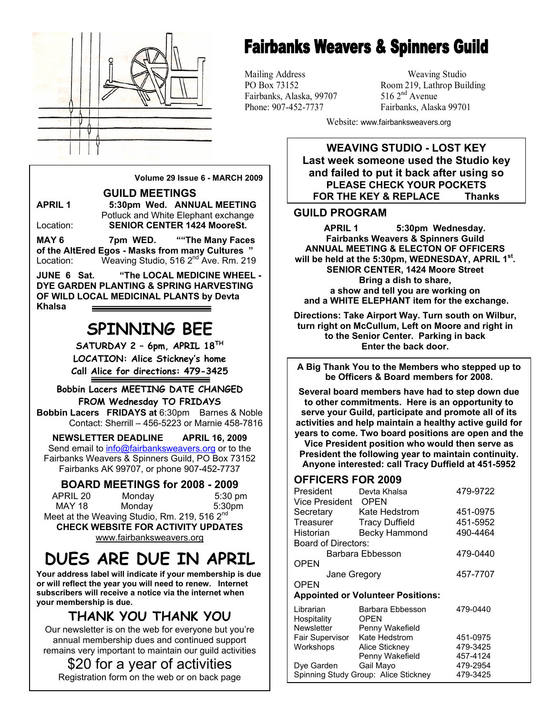

# **Fairbanks Weavers & Spinners Guild**

Mailing Address Weaving Studio Fairbanks, Alaska, 99707

PO Box 73152 Room 219, Lathrop Building<br>Fairbanks. Alaska. 99707 516 2<sup>nd</sup> Avenue Phone: 907-452-7737 Fairbanks, Alaska 99701

Website: www.fairbanksweavers.org

**WEAVING STUDIO - LOST KEY Last week someone used the Studio key and failed to put it back after using so PLEASE CHECK YOUR POCKETS FOR THE KEY & REPLACE Thanks**

### **GUILD PROGRAM**

**APRIL 1 5:30pm Wednesday. Fairbanks Weavers & Spinners Guild ANNUAL MEETING & ELECTON OF OFFICERS will be held at the 5:30pm, WEDNESDAY, APRIL 1st. SENIOR CENTER, 1424 Moore Street Bring a dish to share, a show and tell you are working on and a WHITE ELEPHANT item for the exchange.** 

**Directions: Take Airport Way. Turn south on Wilbur, turn right on McCullum, Left on Moore and right in to the Senior Center. Parking in back Enter the back door.** 

**A Big Thank You to the Members who stepped up to be Officers & Board members for 2008.** 

**Several board members have had to step down due to other commitments. Here is an opportunity to serve your Guild, participate and promote all of its activities and help maintain a healthy active guild for years to come. Two board positions are open and the** 

**Vice President position who would then serve as President the following year to maintain continuity. Anyone interested: call Tracy Duffield at 451-5952** 

### **OFFICERS FOR 2009**

| President<br>Vice President              | Devta Khalsa<br><b>OPEN</b> | 479-9722 |
|------------------------------------------|-----------------------------|----------|
| Secretary                                | Kate Hedstrom               | 451-0975 |
| Treasurer                                | <b>Tracy Duffield</b>       | 451-5952 |
| Historian                                | <b>Becky Hammond</b>        | 490-4464 |
| Board of Directors:                      |                             |          |
| Barbara Ebbesson                         |                             | 479-0440 |
| OPEN                                     |                             |          |
| Jane Gregory                             |                             | 457-7707 |
| <b>OPEN</b>                              |                             |          |
| <b>Appointed or Volunteer Positions:</b> |                             |          |
| Librarian                                | Barbara Ebbesson            | 479-0440 |
| Hospitality                              | <b>OPEN</b>                 |          |
| <b>Newsletter</b>                        | Penny Wakefield             |          |
| Fair Supervisor                          | Kate Hedstrom               | 451-0975 |
| Workshops                                | Alice Stickney              | 479-3425 |
|                                          | Penny Wakefield             | 457-4124 |
| Dye Garden                               | Gail Mayo                   | 479-2954 |
| Spinning Study Group: Alice Stickney     |                             | 479-3425 |

**Volume 29 Issue 6 - MARCH 2009** 

**GUILD MEETINGS** 

**APRIL 1 5:30pm Wed. ANNUAL MEETING**  Potluck and White Elephant exchange Location: **SENIOR CENTER 1424 MooreSt.** 

**MAY 6 7pm WED. ""The Many Faces of the AltEred Egos - Masks from many Cultures "**  Location: Weaving Studio, 516 2<sup>nd</sup> Ave. Rm. 219

**JUNE 6 Sat. "The LOCAL MEDICINE WHEEL - DYE GARDEN PLANTING & SPRING HARVESTING OF WILD LOCAL MEDICINAL PLANTS by Devta Khalsa** 

## **SPINNING BEE**

**SATURDAY 2 – 6pm, APRIL 18TH LOCATION: Alice Stickney's home Call Alice for directions: 479-3425** 

**Bobbin Lacers MEETING DATE CHANGED FROM Wednesday TO FRIDAYS** 

**Bobbin Lacers FRIDAYS at** 6:30pm Barnes & Noble Contact: Sherrill – 456-5223 or Marnie 458-7816

**NEWSLETTER DEADLINE APRIL 16, 2009**  Send email to info@fairbanksweavers.org or to the Fairbanks Weavers & Spinners Guild, PO Box 73152 Fairbanks AK 99707, or phone 907-452-7737

**BOARD MEETINGS for 2008 - 2009** 

APRIL 20 Monday 5:30 pm MAY 18 Monday 5:30pm Meet at the Weaving Studio, Rm. 219, 516 2<sup>nd</sup> **CHECK WEBSITE FOR ACTIVITY UPDATES** 

www.fairbanksweavers.org

## **DUES ARE DUE IN APRIL**

**Your address label will indicate if your membership is due or will reflect the year you will need to renew. Internet subscribers will receive a notice via the internet when your membership is due.** 

### **THANK YOU THANK YOU**

Our newsletter is on the web for everyone but you're annual membership dues and continued support remains very important to maintain our guild activities

### \$20 for a year of activities

Registration form on the web or on back page